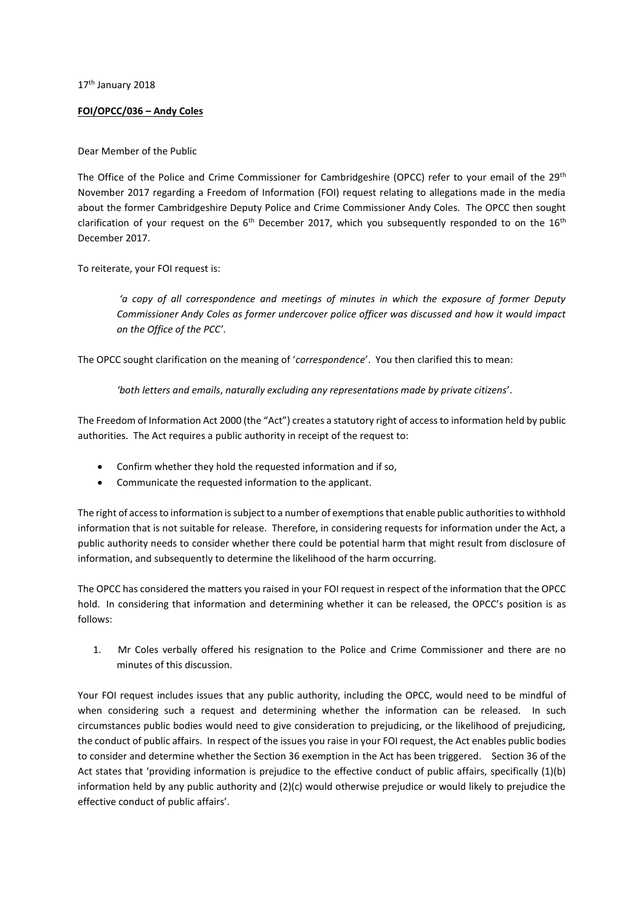17<sup>th</sup> January 2018

## **FOI/OPCC/036 – Andy Coles**

## Dear Member of the Public

The Office of the Police and Crime Commissioner for Cambridgeshire (OPCC) refer to your email of the 29<sup>th</sup> November 2017 regarding a Freedom of Information (FOI) request relating to allegations made in the media about the former Cambridgeshire Deputy Police and Crime Commissioner Andy Coles. The OPCC then sought clarification of your request on the  $6<sup>th</sup>$  December 2017, which you subsequently responded to on the 16<sup>th</sup> December 2017.

To reiterate, your FOI request is:

*a* copy of all correspondence and meetings of minutes in which the exposure of former Deputy *Commissioner Andy Coles as former undercover police officer was discussed and how it would impact <i>On the Office of the PCC'*.

The OPCC sought clarification on the meaning of 'correspondence'. You then clarified this to mean:

*'both letters and emails, naturally excluding any representations made by private citizens'.* 

The Freedom of Information Act 2000 (the "Act") creates a statutory right of access to information held by public authorities. The Act requires a public authority in receipt of the request to:

- Confirm whether they hold the requested information and if so,
- Communicate the requested information to the applicant.

The right of access to information is subject to a number of exemptions that enable public authorities to withhold information that is not suitable for release. Therefore, in considering requests for information under the Act, a public authority needs to consider whether there could be potential harm that might result from disclosure of information, and subsequently to determine the likelihood of the harm occurring.

The OPCC has considered the matters you raised in your FOI request in respect of the information that the OPCC hold. In considering that information and determining whether it can be released, the OPCC's position is as follows:

1. Mr Coles verbally offered his resignation to the Police and Crime Commissioner and there are no minutes of this discussion.

Your FOI request includes issues that any public authority, including the OPCC, would need to be mindful of when considering such a request and determining whether the information can be released. In such circumstances public bodies would need to give consideration to prejudicing, or the likelihood of prejudicing, the conduct of public affairs. In respect of the issues you raise in your FOI request, the Act enables public bodies to consider and determine whether the Section 36 exemption in the Act has been triggered. Section 36 of the Act states that 'providing information is prejudice to the effective conduct of public affairs, specifically  $(1)(b)$ information held by any public authority and (2)(c) would otherwise prejudice or would likely to prejudice the effective conduct of public affairs'.